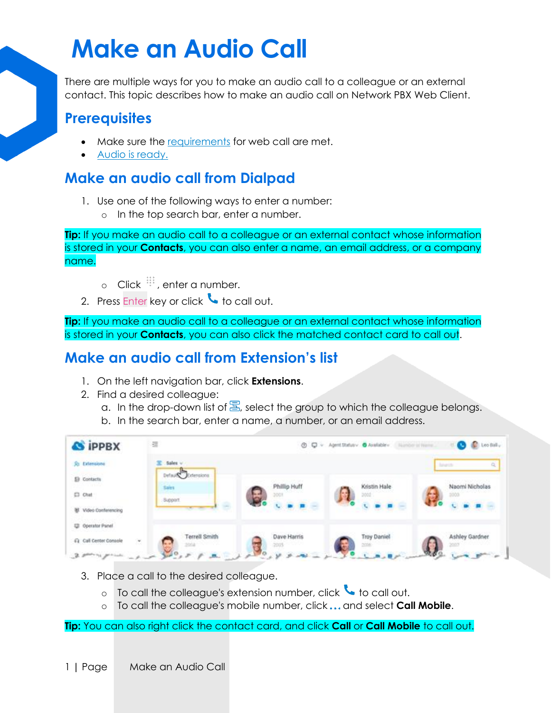# **Make an Audio Call**

There are multiple ways for you to make an audio call to a colleague or an external contact. This topic describes how to make an audio call on Network PBX Web Client.

#### **Prerequisites**

- Make sure the [requirements](https://help.yeastar.com/en/p-series-cloud-edition/web-client-user-guide/web-call-overview.html#web-call-overview__section_qd1_1gc_14b) for web call are met.
- [Audio is ready.](https://help.yeastar.com/en/p-series-cloud-edition/web-client-user-guide/configure-audio-and-video.html)

#### **Make an audio call from Dialpad**

- 1. Use one of the following ways to enter a number:
	- o In the top search bar, enter a number.

**Tip:** If you make an audio call to a colleague or an external contact whose information is stored in your **Contacts**, you can also enter a name, an email address, or a company name.

- o Click  $\ddot{=}$ , enter a number.
- 2. Press Enter key or click  $\bullet$  to call out.

**Tip:** If you make an audio call to a colleague or an external contact whose information is stored in your **Contacts**, you can also click the matched contact card to call out.

### **Make an audio call from Extension's list**

- 1. On the left navigation bar, click **Extensions**.
- 2. Find a desired colleague:
	- a. In the drop-down list of  $\Xi$ , select the group to which the colleague belongs.
	- b. In the search bar, enter a name, a number, or an email address.



- 3. Place a call to the desired colleague.
	- $\circ$  To call the colleague's extension number, click  $\bullet$  to call out.
	- To call the colleague's mobile number, click ... and select **Call Mobile**.

**Tip:** You can also right click the contact card, and click **Call** or **Call Mobile** to call out.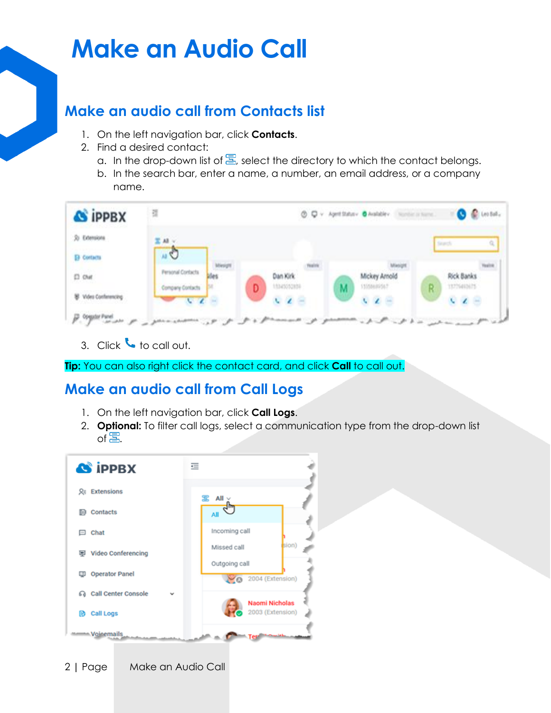## **Make an Audio Call**

#### **Make an audio call from Contacts list**

- 1. On the left navigation bar, click **Contacts**.
- 2. Find a desired contact:
	- a. In the drop-down list of  $\Xi$ , select the directory to which the contact belongs.
	- b. In the search bar, enter a name, a number, an email address, or a company name.

| 퍫                        |   |             |            | O Q v April Satury O Available Number of North |   | <b>O</b> C Lestat.        |
|--------------------------|---|-------------|------------|------------------------------------------------|---|---------------------------|
| 置 All V                  |   |             |            |                                                |   | $\alpha$<br>Search        |
|                          |   |             |            |                                                |   |                           |
| <b>Personal Contacts</b> |   | Dan Kirk    |            | Mickey Arnold                                  |   | Rick Banks                |
| Company Contacts         | D | 11345052838 | М          | 11558485567                                    | R | 13776483671<br>$\sqrt{2}$ |
|                          |   |             | $\epsilon$ |                                                |   | $\epsilon$                |

3. Click to call out.

**Tip:** You can also right click the contact card, and click **Call** to call out.

### **Make an audio call from Call Logs**

- 1. On the left navigation bar, click **Call Logs**.
- 2. **Optional:** To filter call logs, select a communication type from the drop-down list of $\Xi$ .